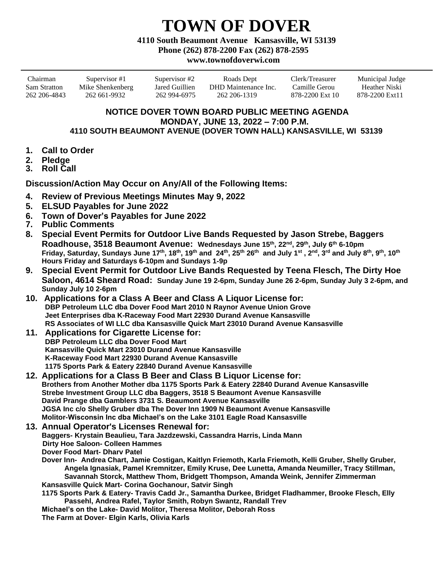## **TOWN OF DOVER**

**4110 South Beaumont Avenue Kansasville, WI 53139**

**Phone (262) 878-2200 Fax (262) 878-2595**

## **www.townofdoverwi.com**

| Chairman     | Supervisor #1    | Supervisor #2  | Roads Dept           | Clerk/Treasurer | Municipal Judge |
|--------------|------------------|----------------|----------------------|-----------------|-----------------|
| Sam Stratton | Mike Shenkenberg | Jared Guillien | DHD Maintenance Inc. | Camille Gerou-  | Heather Niski   |
| 262 206-4843 | 262 661-9932     | 262 994-6975   | 262 206-1319         | 878-2200 Ext 10 | 878-2200 Ext11  |

## **NOTICE DOVER TOWN BOARD PUBLIC MEETING AGENDA MONDAY, JUNE 13, 2022 – 7:00 P.M. 4110 SOUTH BEAUMONT AVENUE (DOVER TOWN HALL) KANSASVILLE, WI 53139**

- **1. Call to Order**
- **2. Pledge**
- **3. Roll Call**

**Discussion/Action May Occur on Any/All of the Following Items:**

- **4. Review of Previous Meetings Minutes May 9, 2022**
- **5. ELSUD Payables for June 2022**
- **6. Town of Dover's Payables for June 2022**
- **7. Public Comments**
- **8. Special Event Permits for Outdoor Live Bands Requested by Jason Strebe, Baggers Roadhouse, 3518 Beaumont Avenue: Wednesdays June 15th, 22nd, 29th, July 6th 6-10pm**  Friday, Saturday, Sundays June 17<sup>th</sup>, 18<sup>th</sup>, 19<sup>th</sup> and 24<sup>th</sup>, 25<sup>th</sup> 26<sup>th</sup> and July 1<sup>st</sup> , 2<sup>nd</sup>, 3<sup>rd</sup> and July 8<sup>th</sup>, 9<sup>th</sup>, 10<sup>th</sup> **Hours Friday and Saturdays 6-10pm and Sundays 1-9p**
- **9. Special Event Permit for Outdoor Live Bands Requested by Teena Flesch, The Dirty Hoe Saloon, 4614 Sheard Road: Sunday June 19 2-6pm, Sunday June 26 2-6pm, Sunday July 3 2-6pm, and Sunday July 10 2-6pm**
- **10. Applications for a Class A Beer and Class A Liquor License for: DBP Petroleum LLC dba Dover Food Mart 2010 N Raynor Avenue Union Grove Jeet Enterprises dba K-Raceway Food Mart 22930 Durand Avenue Kansasville RS Associates of WI LLC dba Kansasville Quick Mart 23010 Durand Avenue Kansasville**
- **11. Applications for Cigarette License for: DBP Petroleum LLC dba Dover Food Mart Kansasville Quick Mart 23010 Durand Avenue Kansasville K-Raceway Food Mart 22930 Durand Avenue Kansasville 1175 Sports Park & Eatery 22840 Durand Avenue Kansasville**
- **12. Applications for a Class B Beer and Class B Liquor License for: Brothers from Another Mother dba 1175 Sports Park & Eatery 22840 Durand Avenue Kansasville Strebe Investment Group LLC dba Baggers, 3518 S Beaumont Avenue Kansasville David Prange dba Gamblers 3731 S. Beaumont Avenue Kansasville JGSA Inc c/o Shelly Gruber dba The Dover Inn 1909 N Beaumont Avenue Kansasville Molitor-Wisconsin Inc dba Michael's on the Lake 3101 Eagle Road Kansasville**
- **13. Annual Operator's Licenses Renewal for: Baggers- Krystain Beaulieu, Tara Jazdzewski, Cassandra Harris, Linda Mann Dirty Hoe Saloon- Colleen Hammes Dover Food Mart- Dharv Patel**
	- **Dover Inn- Andrea Chart, Jamie Costigan, Kaitlyn Friemoth, Karla Friemoth, Kelli Gruber, Shelly Gruber, Angela Ignasiak, Pamel Kremnitzer, Emily Kruse, Dee Lunetta, Amanda Neumiller, Tracy Stillman, Savannah Storck, Matthew Thom, Bridgett Thompson, Amanda Weink, Jennifer Zimmerman Kansasville Quick Mart- Corina Gochanour, Satvir Singh**

**1175 Sports Park & Eatery- Travis Cadd Jr., Samantha Durkee, Bridget Fladhammer, Brooke Flesch, Elly Passehl, Andrea Rafel, Taylor Smith, Robyn Swantz, Randall Trev**

**Michael's on the Lake- David Molitor, Theresa Molitor, Deborah Ross The Farm at Dover- Elgin Karls, Olivia Karls**